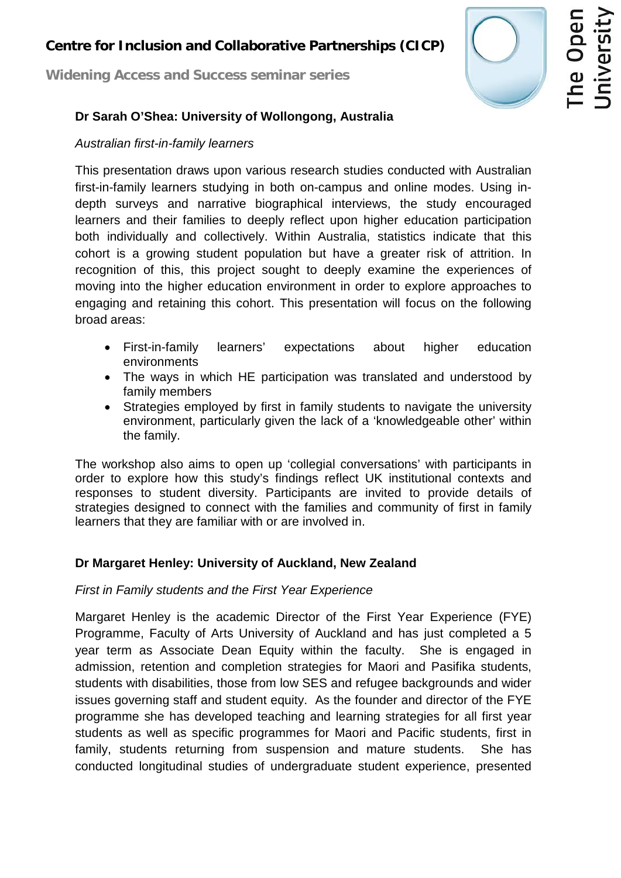# **Centre for Inclusion and Collaborative Partnerships (CICP)**

**Widening Access and Success seminar series**



# **Dr Sarah O'Shea: University of Wollongong, Australia**

#### *Australian first-in-family learners*

This presentation draws upon various research studies conducted with Australian first-in-family learners studying in both on-campus and online modes. Using indepth surveys and narrative biographical interviews, the study encouraged learners and their families to deeply reflect upon higher education participation both individually and collectively. Within Australia, statistics indicate that this cohort is a growing student population but have a greater risk of attrition. In recognition of this, this project sought to deeply examine the experiences of moving into the higher education environment in order to explore approaches to engaging and retaining this cohort. This presentation will focus on the following broad areas:

- First-in-family learners' expectations about higher education environments
- The ways in which HE participation was translated and understood by family members
- Strategies employed by first in family students to navigate the university environment, particularly given the lack of a 'knowledgeable other' within the family.

The workshop also aims to open up 'collegial conversations' with participants in order to explore how this study's findings reflect UK institutional contexts and responses to student diversity. Participants are invited to provide details of strategies designed to connect with the families and community of first in family learners that they are familiar with or are involved in.

# **Dr Margaret Henley: University of Auckland, New Zealand**

# *First in Family students and the First Year Experience*

Margaret Henley is the academic Director of the First Year Experience (FYE) Programme, Faculty of Arts University of Auckland and has just completed a 5 year term as Associate Dean Equity within the faculty. She is engaged in admission, retention and completion strategies for Maori and Pasifika students, students with disabilities, those from low SES and refugee backgrounds and wider issues governing staff and student equity. As the founder and director of the FYE programme she has developed teaching and learning strategies for all first year students as well as specific programmes for Maori and Pacific students, first in family, students returning from suspension and mature students. She has conducted longitudinal studies of undergraduate student experience, presented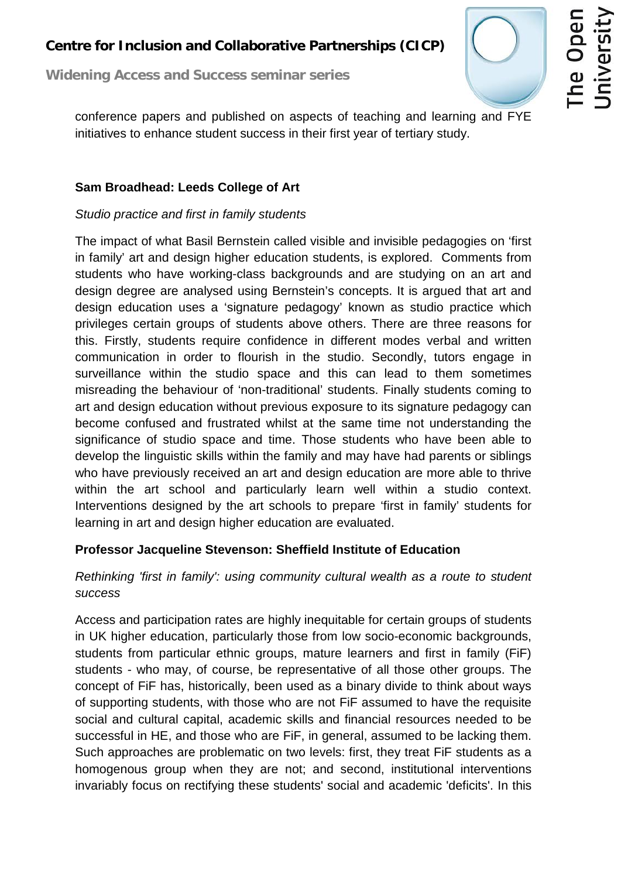# **Centre for Inclusion and Collaborative Partnerships (CICP)**

**Widening Access and Success seminar series**



conference papers and published on aspects of teaching and learning and FYE initiatives to enhance student success in their first year of tertiary study.

# **Sam Broadhead: Leeds College of Art**

# *Studio practice and first in family students*

The impact of what Basil Bernstein called visible and invisible pedagogies on 'first in family' art and design higher education students, is explored. Comments from students who have working-class backgrounds and are studying on an art and design degree are analysed using Bernstein's concepts. It is argued that art and design education uses a 'signature pedagogy' known as studio practice which privileges certain groups of students above others. There are three reasons for this. Firstly, students require confidence in different modes verbal and written communication in order to flourish in the studio. Secondly, tutors engage in surveillance within the studio space and this can lead to them sometimes misreading the behaviour of 'non-traditional' students. Finally students coming to art and design education without previous exposure to its signature pedagogy can become confused and frustrated whilst at the same time not understanding the significance of studio space and time. Those students who have been able to develop the linguistic skills within the family and may have had parents or siblings who have previously received an art and design education are more able to thrive within the art school and particularly learn well within a studio context. Interventions designed by the art schools to prepare 'first in family' students for learning in art and design higher education are evaluated.

# **Professor Jacqueline Stevenson: Sheffield Institute of Education**

# *Rethinking 'first in family': using community cultural wealth as a route to student success*

Access and participation rates are highly inequitable for certain groups of students in UK higher education, particularly those from low socio-economic backgrounds, students from particular ethnic groups, mature learners and first in family (FiF) students - who may, of course, be representative of all those other groups. The concept of FiF has, historically, been used as a binary divide to think about ways of supporting students, with those who are not FiF assumed to have the requisite social and cultural capital, academic skills and financial resources needed to be successful in HE, and those who are FiF, in general, assumed to be lacking them. Such approaches are problematic on two levels: first, they treat FiF students as a homogenous group when they are not; and second, institutional interventions invariably focus on rectifying these students' social and academic 'deficits'. In this